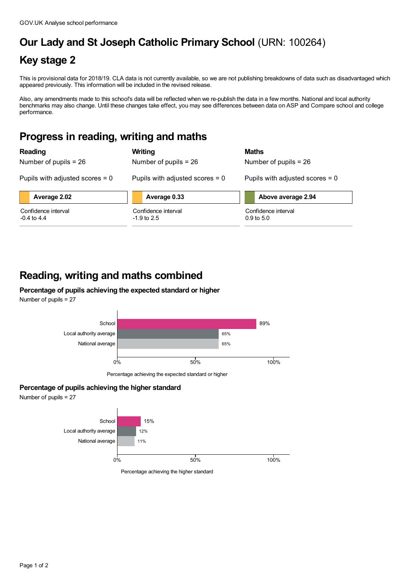# **Our Lady and St Joseph Catholic Primary School** (URN: 100264)

### **Key stage 2**

This is provisional data for 2018/19. CLA data is not currently available, so we are not publishing breakdowns of data such as disadvantaged which appeared previously. This information will be included in the revised release.

Also, any amendments made to this school's data will be reflected when we re-publish the data in a few months. National and local authority benchmarks may also change. Until these changes take effect, you may see differences between data on ASP and Compare school and college performance.

### **Progress in reading, writing and maths**

| Reading                              | Writing                              | <b>Maths</b>                                 |
|--------------------------------------|--------------------------------------|----------------------------------------------|
| Number of pupils $= 26$              | Number of pupils $= 26$              | Number of pupils $= 26$                      |
| Pupils with adjusted scores $= 0$    | Pupils with adjusted scores $= 0$    | Pupils with adjusted scores $= 0$            |
| Average 2.02                         | Average 0.33                         | Above average 2.94                           |
| Confidence interval<br>$-0.4$ to 4.4 | Confidence interval<br>$-1.9$ to 2.5 | Confidence interval<br>$0.9 \text{ to } 5.0$ |

### **Reading, writing and maths combined**

#### **Percentage of pupils achieving the expected standard or higher** Number of pupils = 27



Percentage achieving the expected standard or higher

### **Percentage of pupils achieving the higher standard**

Number of pupils = 27